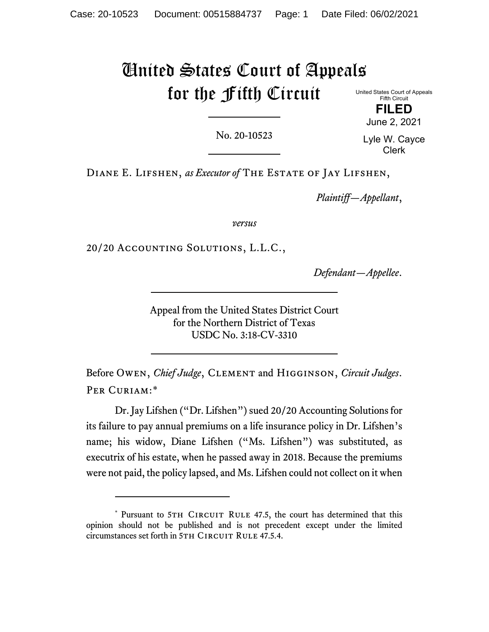# United States Court of Appeals for the Fifth Circuit

United States Court of Appeals Fifth Circuit **FILED**

No. 20-10523

Lyle W. Cayce Clerk

June 2, 2021

Diane E. Lifshen, *as Executor of* The Estate of Jay Lifshen,

*Plaintiff—Appellant*,

*versus*

20/20 Accounting Solutions, L.L.C.,

*Defendant—Appellee*.

Appeal from the United States District Court for the Northern District of Texas USDC No. 3:18-CV-3310

Before Owen, *Chief Judge*, Clement and Higginson, *Circuit Judges*. PER CURIAM:[\\*](#page-0-0)

Dr. Jay Lifshen ("Dr. Lifshen") sued 20/20 Accounting Solutions for its failure to pay annual premiums on a life insurance policy in Dr. Lifshen's name; his widow, Diane Lifshen ("Ms. Lifshen") was substituted, as executrix of his estate, when he passed away in 2018. Because the premiums were not paid, the policy lapsed, and Ms. Lifshen could not collect on it when

<span id="page-0-0"></span><sup>\*</sup> Pursuant to 5TH CIRCUIT RULE 47.5, the court has determined that this opinion should not be published and is not precedent except under the limited circumstances set forth in 5TH CIRCUIT RULE 47.5.4.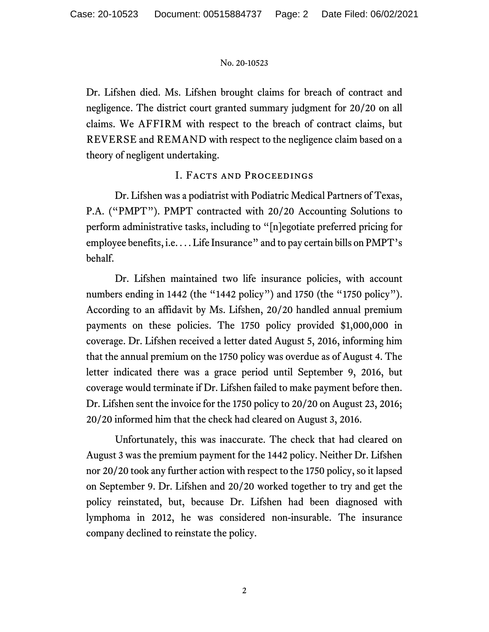Dr. Lifshen died. Ms. Lifshen brought claims for breach of contract and negligence. The district court granted summary judgment for 20/20 on all claims. We AFFIRM with respect to the breach of contract claims, but REVERSE and REMAND with respect to the negligence claim based on a theory of negligent undertaking.

# I. Facts and Proceedings

Dr. Lifshen was a podiatrist with Podiatric Medical Partners of Texas, P.A. ("PMPT"). PMPT contracted with 20/20 Accounting Solutions to perform administrative tasks, including to "[n]egotiate preferred pricing for employee benefits, i.e. . . . Life Insurance" and to pay certain bills on PMPT's behalf.

Dr. Lifshen maintained two life insurance policies, with account numbers ending in 1442 (the "1442 policy") and 1750 (the "1750 policy"). According to an affidavit by Ms. Lifshen, 20/20 handled annual premium payments on these policies. The 1750 policy provided \$1,000,000 in coverage. Dr. Lifshen received a letter dated August 5, 2016, informing him that the annual premium on the 1750 policy was overdue as of August 4. The letter indicated there was a grace period until September 9, 2016, but coverage would terminate if Dr. Lifshen failed to make payment before then. Dr. Lifshen sent the invoice for the 1750 policy to 20/20 on August 23, 2016; 20/20 informed him that the check had cleared on August 3, 2016.

Unfortunately, this was inaccurate. The check that had cleared on August 3 was the premium payment for the 1442 policy. Neither Dr. Lifshen nor 20/20 took any further action with respect to the 1750 policy, so it lapsed on September 9. Dr. Lifshen and 20/20 worked together to try and get the policy reinstated, but, because Dr. Lifshen had been diagnosed with lymphoma in 2012, he was considered non-insurable. The insurance company declined to reinstate the policy.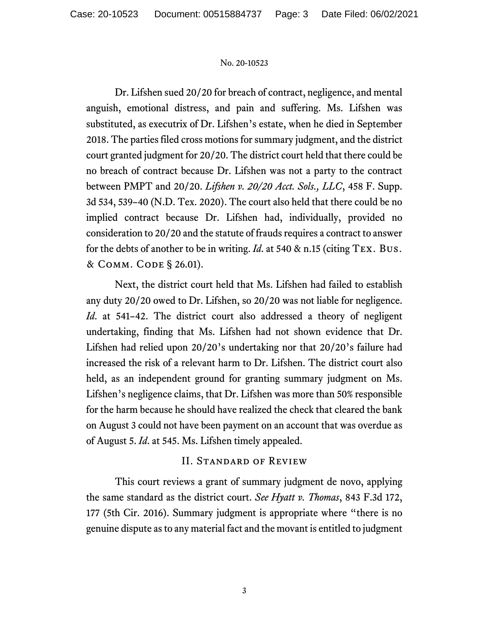Dr. Lifshen sued 20/20 for breach of contract, negligence, and mental anguish, emotional distress, and pain and suffering. Ms. Lifshen was substituted, as executrix of Dr. Lifshen's estate, when he died in September 2018. The parties filed cross motions for summary judgment, and the district court granted judgment for 20/20. The district court held that there could be no breach of contract because Dr. Lifshen was not a party to the contract between PMPT and 20/20. *Lifshen v. 20/20 Acct. Sols., LLC*, 458 F. Supp. 3d 534, 539–40 (N.D. Tex. 2020). The court also held that there could be no implied contract because Dr. Lifshen had, individually, provided no consideration to 20/20 and the statute of frauds requires a contract to answer for the debts of another to be in writing. *Id*. at 540 & n.15 (citing Tex. Bus. & Comm. Code § 26.01).

Next, the district court held that Ms. Lifshen had failed to establish any duty 20/20 owed to Dr. Lifshen, so 20/20 was not liable for negligence. *Id*. at 541–42. The district court also addressed a theory of negligent undertaking, finding that Ms. Lifshen had not shown evidence that Dr. Lifshen had relied upon 20/20's undertaking nor that 20/20's failure had increased the risk of a relevant harm to Dr. Lifshen. The district court also held, as an independent ground for granting summary judgment on Ms. Lifshen's negligence claims, that Dr. Lifshen was more than 50% responsible for the harm because he should have realized the check that cleared the bank on August 3 could not have been payment on an account that was overdue as of August 5. *Id*. at 545. Ms. Lifshen timely appealed.

# II. Standard of Review

This court reviews a grant of summary judgment de novo, applying the same standard as the district court. *See Hyatt v. Thomas*, 843 F.3d 172, 177 (5th Cir. 2016). Summary judgment is appropriate where "there is no genuine dispute as to any material fact and the movant is entitled to judgment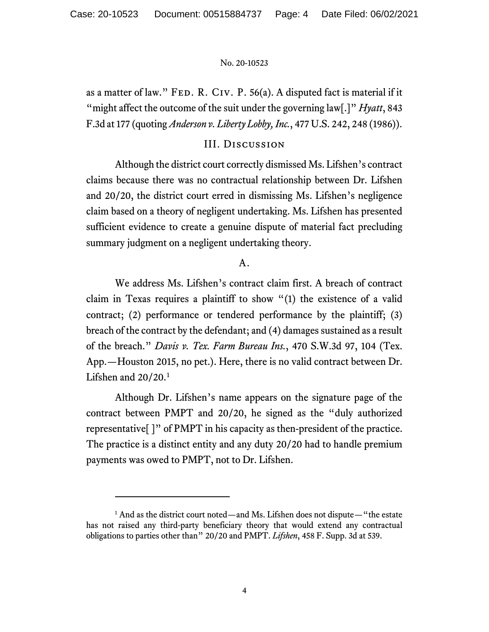as a matter of law." FED. R. CIV. P. 56(a). A disputed fact is material if it "might affect the outcome of the suit under the governing law[.]" *Hyatt*, 843 F.3d at 177 (quoting *Anderson v. Liberty Lobby, Inc.*, 477 U.S. 242, 248 (1986)).

## III. Discussion

Although the district court correctly dismissed Ms. Lifshen's contract claims because there was no contractual relationship between Dr. Lifshen and 20/20, the district court erred in dismissing Ms. Lifshen's negligence claim based on a theory of negligent undertaking. Ms. Lifshen has presented sufficient evidence to create a genuine dispute of material fact precluding summary judgment on a negligent undertaking theory.

## A.

We address Ms. Lifshen's contract claim first. A breach of contract claim in Texas requires a plaintiff to show "(1) the existence of a valid contract; (2) performance or tendered performance by the plaintiff; (3) breach of the contract by the defendant; and (4) damages sustained as a result of the breach." *Davis v. Tex. Farm Bureau Ins.*, 470 S.W.3d 97, 104 (Tex. App.—Houston 2015, no pet.). Here, there is no valid contract between Dr. Lifshen and  $20/20$ .<sup>[1](#page-3-0)</sup>

Although Dr. Lifshen's name appears on the signature page of the contract between PMPT and 20/20, he signed as the "duly authorized representative[ ]" of PMPT in his capacity as then-president of the practice. The practice is a distinct entity and any duty 20/20 had to handle premium payments was owed to PMPT, not to Dr. Lifshen.

<span id="page-3-0"></span><sup>&</sup>lt;sup>1</sup> And as the district court noted—and Ms. Lifshen does not dispute—"the estate has not raised any third-party beneficiary theory that would extend any contractual obligations to parties other than" 20/20 and PMPT. *Lifshen*, 458 F. Supp. 3d at 539.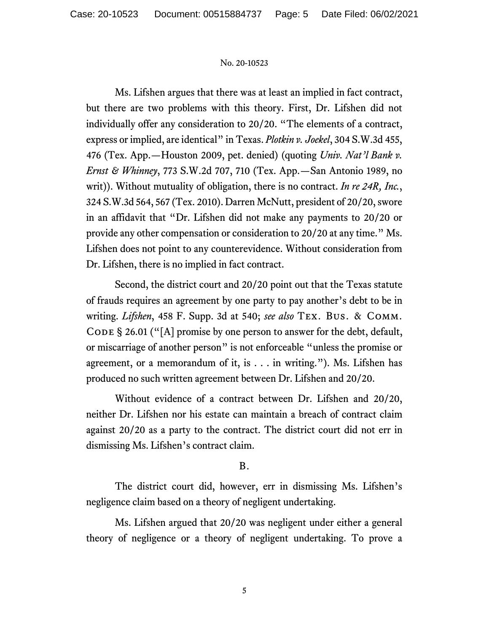Ms. Lifshen argues that there was at least an implied in fact contract, but there are two problems with this theory. First, Dr. Lifshen did not individually offer any consideration to 20/20. "The elements of a contract, express or implied, are identical" in Texas. *Plotkin v. Joekel*, 304 S.W.3d 455, 476 (Tex. App.—Houston 2009, pet. denied) (quoting *Univ. Nat'l Bank v. Ernst & Whinney*, 773 S.W.2d 707, 710 (Tex. App.—San Antonio 1989, no writ)). Without mutuality of obligation, there is no contract. *In re 24R, Inc.*, 324 S.W.3d 564, 567 (Tex. 2010). Darren McNutt, president of 20/20, swore in an affidavit that "Dr. Lifshen did not make any payments to 20/20 or provide any other compensation or consideration to 20/20 at any time." Ms. Lifshen does not point to any counterevidence. Without consideration from Dr. Lifshen, there is no implied in fact contract.

Second, the district court and 20/20 point out that the Texas statute of frauds requires an agreement by one party to pay another's debt to be in writing. *Lifshen*, 458 F. Supp. 3d at 540; *see also* Tex. Bus. & Comm. CODE  $\S$  26.01 ("[A] promise by one person to answer for the debt, default, or miscarriage of another person" is not enforceable "unless the promise or agreement, or a memorandum of it, is . . . in writing."). Ms. Lifshen has produced no such written agreement between Dr. Lifshen and 20/20.

Without evidence of a contract between Dr. Lifshen and 20/20, neither Dr. Lifshen nor his estate can maintain a breach of contract claim against 20/20 as a party to the contract. The district court did not err in dismissing Ms. Lifshen's contract claim.

## B.

The district court did, however, err in dismissing Ms. Lifshen's negligence claim based on a theory of negligent undertaking.

Ms. Lifshen argued that 20/20 was negligent under either a general theory of negligence or a theory of negligent undertaking. To prove a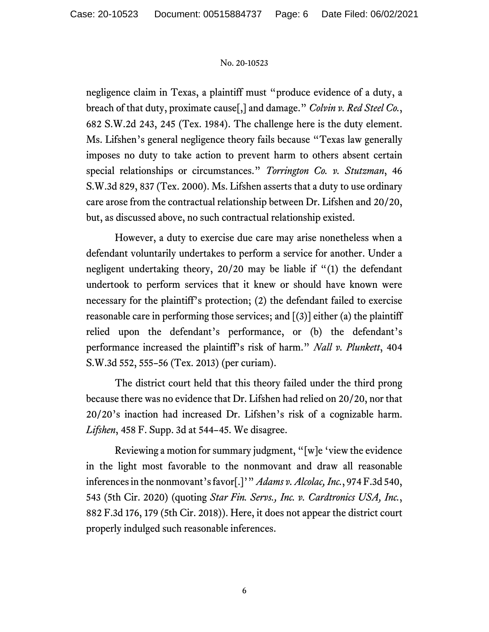negligence claim in Texas, a plaintiff must "produce evidence of a duty, a breach of that duty, proximate cause[,] and damage." *Colvin v. Red Steel Co.*, 682 S.W.2d 243, 245 (Tex. 1984). The challenge here is the duty element. Ms. Lifshen's general negligence theory fails because "Texas law generally imposes no duty to take action to prevent harm to others absent certain special relationships or circumstances." *Torrington Co. v. Stutzman*, 46 S.W.3d 829, 837 (Tex. 2000). Ms. Lifshen asserts that a duty to use ordinary care arose from the contractual relationship between Dr. Lifshen and 20/20, but, as discussed above, no such contractual relationship existed.

However, a duty to exercise due care may arise nonetheless when a defendant voluntarily undertakes to perform a service for another. Under a negligent undertaking theory, 20/20 may be liable if "(1) the defendant undertook to perform services that it knew or should have known were necessary for the plaintiff's protection; (2) the defendant failed to exercise reasonable care in performing those services; and  $[(3)]$  either (a) the plaintiff relied upon the defendant's performance, or (b) the defendant's performance increased the plaintiff's risk of harm." *Nall v. Plunkett*, 404 S.W.3d 552, 555–56 (Tex. 2013) (per curiam).

The district court held that this theory failed under the third prong because there was no evidence that Dr. Lifshen had relied on 20/20, nor that 20/20's inaction had increased Dr. Lifshen's risk of a cognizable harm. *Lifshen*, 458 F. Supp. 3d at 544–45. We disagree.

Reviewing a motion for summary judgment, "[w]e 'view the evidence in the light most favorable to the nonmovant and draw all reasonable inferences in the nonmovant's favor[.]'" *Adams v. Alcolac, Inc.*, 974 F.3d 540, 543 (5th Cir. 2020) (quoting *Star Fin. Servs., Inc. v. Cardtronics USA, Inc.*, 882 F.3d 176, 179 (5th Cir. 2018)). Here, it does not appear the district court properly indulged such reasonable inferences.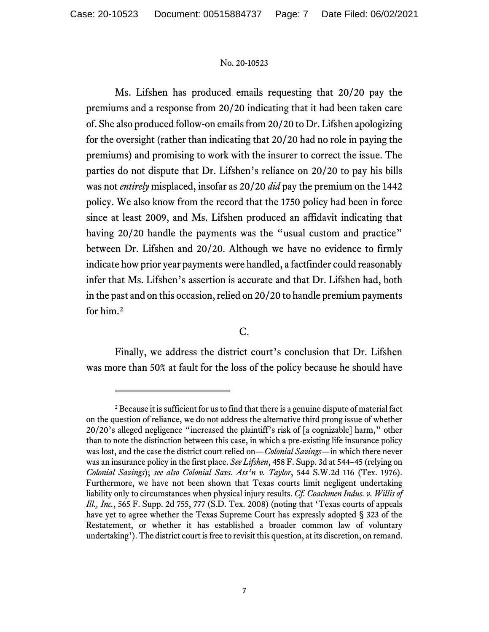Ms. Lifshen has produced emails requesting that 20/20 pay the premiums and a response from 20/20 indicating that it had been taken care of. She also produced follow-on emails from 20/20 to Dr. Lifshen apologizing for the oversight (rather than indicating that 20/20 had no role in paying the premiums) and promising to work with the insurer to correct the issue. The parties do not dispute that Dr. Lifshen's reliance on 20/20 to pay his bills was not *entirely* misplaced, insofar as 20/20 *did* pay the premium on the 1442 policy. We also know from the record that the 1750 policy had been in force since at least 2009, and Ms. Lifshen produced an affidavit indicating that having 20/20 handle the payments was the "usual custom and practice" between Dr. Lifshen and 20/20. Although we have no evidence to firmly indicate how prior year payments were handled, a factfinder could reasonably infer that Ms. Lifshen's assertion is accurate and that Dr. Lifshen had, both in the past and on this occasion, relied on 20/20 to handle premium payments for him.[2](#page-6-0)

C.

Finally, we address the district court's conclusion that Dr. Lifshen was more than 50% at fault for the loss of the policy because he should have

<span id="page-6-0"></span> $2^2$  Because it is sufficient for us to find that there is a genuine dispute of material fact on the question of reliance, we do not address the alternative third prong issue of whether 20/20's alleged negligence "increased the plaintiff's risk of [a cognizable] harm," other than to note the distinction between this case, in which a pre-existing life insurance policy was lost, and the case the district court relied on—*Colonial Savings*—in which there never was an insurance policy in the first place. *See Lifshen*, 458 F. Supp. 3d at 544–45 (relying on *Colonial Savings*); *see also Colonial Savs. Ass'n v. Taylor*, 544 S.W.2d 116 (Tex. 1976). Furthermore, we have not been shown that Texas courts limit negligent undertaking liability only to circumstances when physical injury results. *Cf. Coachmen Indus. v. Willis of Ill., Inc.*, 565 F. Supp. 2d 755, 777 (S.D. Tex. 2008) (noting that 'Texas courts of appeals have yet to agree whether the Texas Supreme Court has expressly adopted § 323 of the Restatement, or whether it has established a broader common law of voluntary undertaking'). The district court is free to revisit this question, at its discretion, on remand.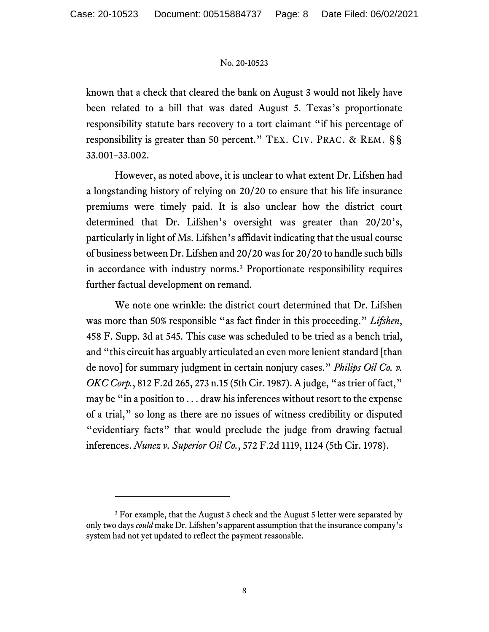known that a check that cleared the bank on August 3 would not likely have been related to a bill that was dated August 5. Texas's proportionate responsibility statute bars recovery to a tort claimant "if his percentage of responsibility is greater than 50 percent." TEX. CIV. PRAC. & REM. §§ 33.001–33.002.

However, as noted above, it is unclear to what extent Dr. Lifshen had a longstanding history of relying on 20/20 to ensure that his life insurance premiums were timely paid. It is also unclear how the district court determined that Dr. Lifshen's oversight was greater than 20/20's, particularly in light of Ms. Lifshen's affidavit indicating that the usual course of business between Dr. Lifshen and 20/20 was for 20/20 to handle such bills in accordance with industry norms.[3](#page-7-0) Proportionate responsibility requires further factual development on remand.

We note one wrinkle: the district court determined that Dr. Lifshen was more than 50% responsible "as fact finder in this proceeding." *Lifshen*, 458 F. Supp. 3d at 545. This case was scheduled to be tried as a bench trial, and "this circuit has arguably articulated an even more lenient standard [than de novo] for summary judgment in certain nonjury cases." *Philips Oil Co. v. OKC Corp.*, 812 F.2d 265, 273 n.15 (5th Cir. 1987). A judge, "as trier of fact," may be "in a position to . . . draw his inferences without resort to the expense of a trial," so long as there are no issues of witness credibility or disputed "evidentiary facts" that would preclude the judge from drawing factual inferences. *Nunez v. Superior Oil Co.*, 572 F.2d 1119, 1124 (5th Cir. 1978).

<span id="page-7-0"></span><sup>&</sup>lt;sup>3</sup> For example, that the August 3 check and the August 5 letter were separated by only two days *could* make Dr. Lifshen's apparent assumption that the insurance company's system had not yet updated to reflect the payment reasonable.